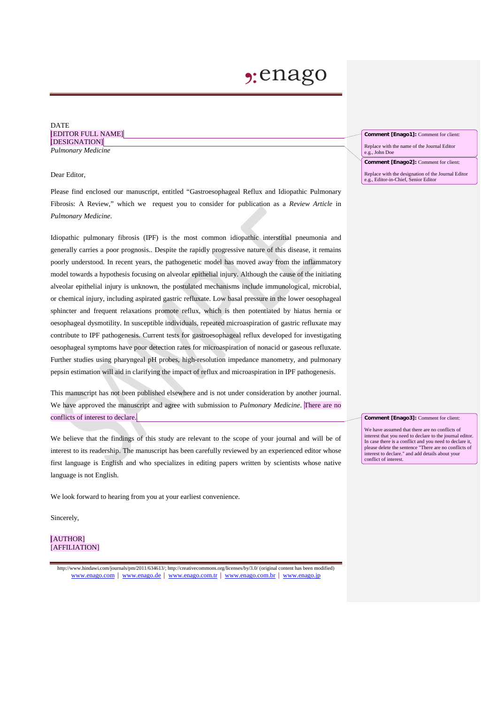# **2:**enago

#### DATE [EDITOR FULL NAME] [DESIGNATION] *Pulmonary Medicine*

#### Dear Editor,

Please find enclosed our manuscript, entitled "Gastroesophageal Reflux and Idiopathic Pulmonary Fibrosis: A Review," which we request you to consider for publication as a *Review Article* in *Pulmonary Medicine*.

Idiopathic pulmonary fibrosis (IPF) is the most common idiopathic interstitial pneumonia and generally carries a poor prognosis.. Despite the rapidly progressive nature of this disease, it remains poorly understood. In recent years, the pathogenetic model has moved away from the inflammatory model towards a hypothesis focusing on alveolar epithelial injury. Although the cause of the initiating alveolar epithelial injury is unknown, the postulated mechanisms include immunological, microbial, or chemical injury, including aspirated gastric refluxate. Low basal pressure in the lower oesophageal sphincter and frequent relaxations promote reflux, which is then potentiated by hiatus hernia or oesophageal dysmotility. In susceptible individuals, repeated microaspiration of gastric refluxate may contribute to IPF pathogenesis. Current tests for gastroesophageal reflux developed for investigating oesophageal symptoms have poor detection rates for microaspiration of nonacid or gaseous refluxate. Further studies using pharyngeal pH probes, high-resolution impedance manometry, and pulmonary pepsin estimation will aid in clarifying the impact of reflux and microaspiration in IPF pathogenesis.

This manuscript has not been published elsewhere and is not under consideration by another journal. We have approved the manuscript and agree with submission to *Pulmonary Medicine*. There are no conflicts of interest to declare.

We believe that the findings of this study are relevant to the scope of your journal and will be of interest to its readership. The manuscript has been carefully reviewed by an experienced editor whose first language is English and who specializes in editing papers written by scientists whose native language is not English.

We look forward to hearing from you at your earliest convenience.

Sincerely,

#### [AUTHOR] [AFFILIATION]

http://www.hindawi.com/journals/pm/2011/634613/; http://creativecommons.org/licenses/by/3.0/ (original content has been modified) [www.enago.com](http://www.enago.com/) | [www.enago.de](http://www.enago.de/) | [www.enago.com.tr](http://www.enago.com.tr/) | [www.enago.com.br](http://www.enago.com.br/) | [www.enago.jp](http://www.enago.jp/)

**Comment [Enago1]:** Comment for client:

Replace with the name of the Journal Editor e.g., John Doe

**Comment [Enago2]:** Comment for client:

Replace with the designation of the Journal Editor e.g., Editor-in-Chief, Senior Editor

#### **Comment [Enago3]:** Comment for client:

We have assumed that there are no conflicts of interest that you need to declare to the journal editor. In case there is a conflict and you need to declare it, please delete the sentence "There are no conflicts of interest to declare." and add details about your conflict of interest.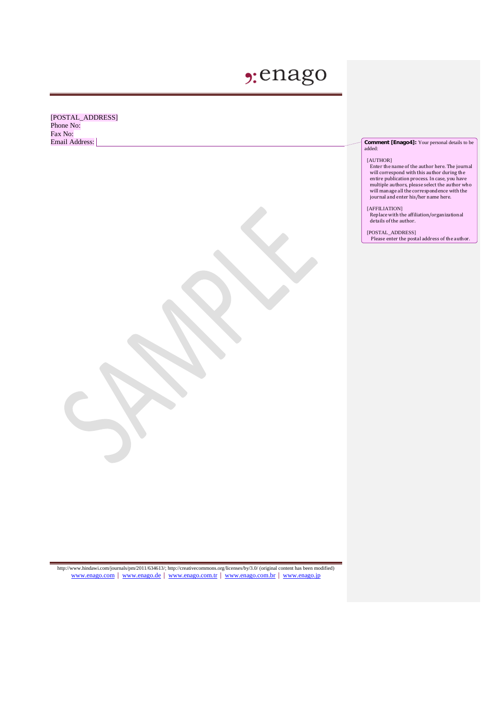# **2:**enago

[POSTAL\_ADDRESS] Phone No: Fax No:<br>Email Address:

#### **Comment [Enago4]:** Your personal details to be added:

#### [AUTHOR]

Enter the name of the author here. The journal will correspond with this author during the entire publication process. In case, you have multiple authors, please select the author who will manage all the correspondence with the journal and enter his/her name here.

#### [AFFILIATION]

Replace with the affiliation/organizational details of the author.

#### [POSTAL\_ADDRESS]

Please enter the postal address of the author.